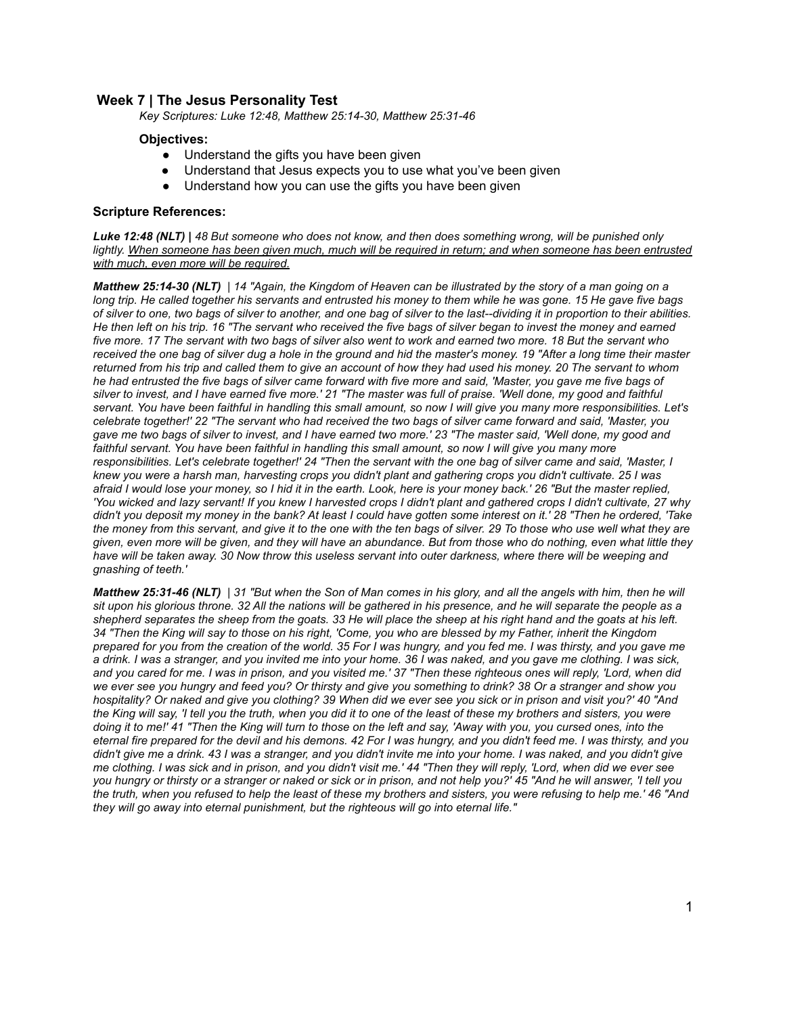# **Week 7 | The Jesus Personality Test**

*Key Scriptures: Luke 12:48, Matthew 25:14-30, Matthew 25:31-46*

### **Objectives:**

- Understand the gifts you have been given
- Understand that Jesus expects you to use what you've been given
- Understand how you can use the gifts you have been given

#### **Scripture References:**

*Luke 12:48 (NLT) | 48 But someone who does not know, and then does something wrong, will be punished only lightly. When someone has been given much, much will be required in return; and when someone has been entrusted with much, even more will be required.*

*Matthew 25:14-30 (NLT) | 14 "Again, the Kingdom of Heaven can be illustrated by the story of a man going on a long trip. He called together his servants and entrusted his money to them while he was gone. 15 He gave five bags of silver to one, two bags of silver to another, and one bag of silver to the last--dividing it in proportion to their abilities. He then left on his trip. 16 "The servant who received the five bags of silver began to invest the money and earned five more. 17 The servant with two bags of silver also went to work and earned two more. 18 But the servant who received the one bag of silver dug a hole in the ground and hid the master's money. 19 "After a long time their master returned from his trip and called them to give an account of how they had used his money. 20 The servant to whom he had entrusted the five bags of silver came forward with five more and said, 'Master, you gave me five bags of silver to invest, and I have earned five more.' 21 "The master was full of praise. 'Well done, my good and faithful servant. You have been faithful in handling this small amount, so now I will give you many more responsibilities. Let's celebrate together!' 22 "The servant who had received the two bags of silver came forward and said, 'Master, you gave me two bags of silver to invest, and I have earned two more.' 23 "The master said, 'Well done, my good and faithful servant. You have been faithful in handling this small amount, so now I will give you many more responsibilities. Let's celebrate together!' 24 "Then the servant with the one bag of silver came and said, 'Master, I knew you were a harsh man, harvesting crops you didn't plant and gathering crops you didn't cultivate. 25 I was afraid I would lose your money, so I hid it in the earth. Look, here is your money back.' 26 "But the master replied, 'You wicked and lazy servant! If you knew I harvested crops I didn't plant and gathered crops I didn't cultivate, 27 why didn't you deposit my money in the bank? At least I could have gotten some interest on it.' 28 "Then he ordered, 'Take the money from this servant, and give it to the one with the ten bags of silver. 29 To those who use well what they are given, even more will be given, and they will have an abundance. But from those who do nothing, even what little they have will be taken away. 30 Now throw this useless servant into outer darkness, where there will be weeping and gnashing of teeth.'*

*Matthew 25:31-46 (NLT) | 31 "But when the Son of Man comes in his glory, and all the angels with him, then he will sit upon his glorious throne. 32 All the nations will be gathered in his presence, and he will separate the people as a shepherd separates the sheep from the goats. 33 He will place the sheep at his right hand and the goats at his left. 34 "Then the King will say to those on his right, 'Come, you who are blessed by my Father, inherit the Kingdom prepared for you from the creation of the world. 35 For I was hungry, and you fed me. I was thirsty, and you gave me a drink. I was a stranger, and you invited me into your home. 36 I was naked, and you gave me clothing. I was sick, and you cared for me. I was in prison, and you visited me.' 37 "Then these righteous ones will reply, 'Lord, when did we ever see you hungry and feed you? Or thirsty and give you something to drink? 38 Or a stranger and show you hospitality? Or naked and give you clothing? 39 When did we ever see you sick or in prison and visit you?' 40 "And the King will say, 'I tell you the truth, when you did it to one of the least of these my brothers and sisters, you were doing it to me!' 41 "Then the King will turn to those on the left and say, 'Away with you, you cursed ones, into the eternal fire prepared for the devil and his demons. 42 For I was hungry, and you didn't feed me. I was thirsty, and you didn't give me a drink. 43 I was a stranger, and you didn't invite me into your home. I was naked, and you didn't give me clothing. I was sick and in prison, and you didn't visit me.' 44 "Then they will reply, 'Lord, when did we ever see you hungry or thirsty or a stranger or naked or sick or in prison, and not help you?' 45 "And he will answer, 'I tell you the truth, when you refused to help the least of these my brothers and sisters, you were refusing to help me.' 46 "And they will go away into eternal punishment, but the righteous will go into eternal life."*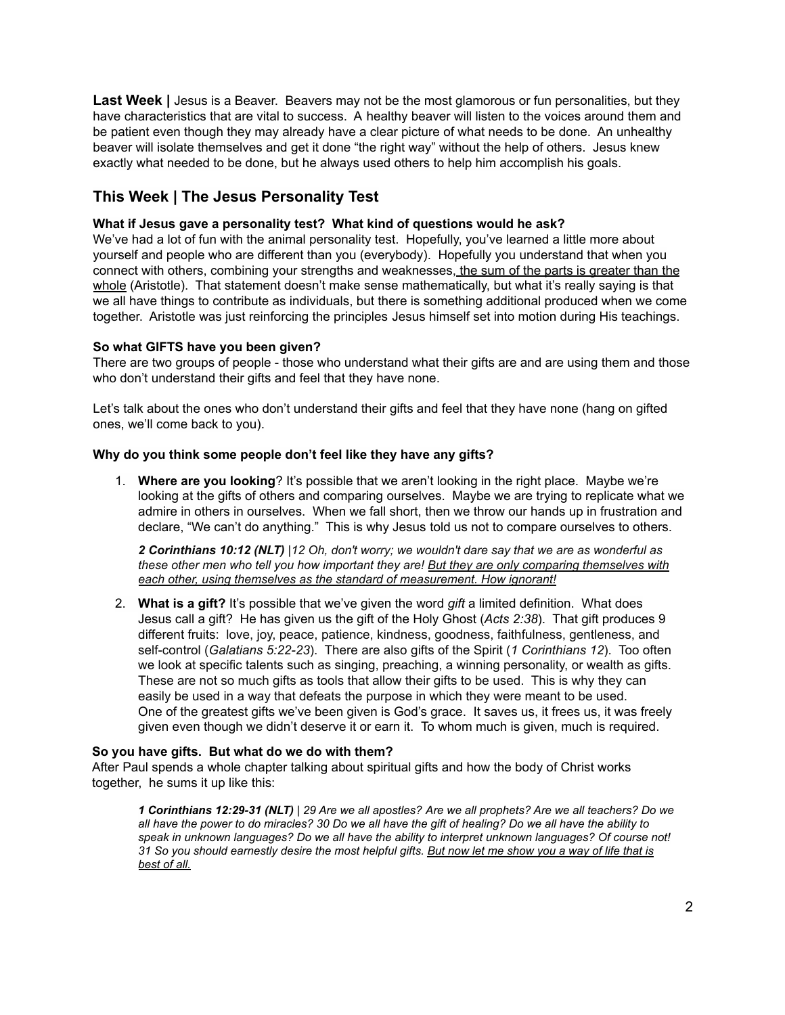**Last Week** | Jesus is a Beaver. Beavers may not be the most glamorous or fun personalities, but they have characteristics that are vital to success. A healthy beaver will listen to the voices around them and be patient even though they may already have a clear picture of what needs to be done. An unhealthy beaver will isolate themselves and get it done "the right way" without the help of others. Jesus knew exactly what needed to be done, but he always used others to help him accomplish his goals.

# **This Week | The Jesus Personality Test**

# **What if Jesus gave a personality test? What kind of questions would he ask?**

We've had a lot of fun with the animal personality test. Hopefully, you've learned a little more about yourself and people who are different than you (everybody). Hopefully you understand that when you connect with others, combining your strengths and weaknesses, the sum of the parts is greater than the whole (Aristotle). That statement doesn't make sense mathematically, but what it's really saying is that we all have things to contribute as individuals, but there is something additional produced when we come together. Aristotle was just reinforcing the principles Jesus himself set into motion during His teachings.

## **So what GIFTS have you been given?**

There are two groups of people - those who understand what their gifts are and are using them and those who don't understand their gifts and feel that they have none.

Let's talk about the ones who don't understand their gifts and feel that they have none (hang on gifted ones, we'll come back to you).

## **Why do you think some people don't feel like they have any gifts?**

1. **Where are you looking**? It's possible that we aren't looking in the right place. Maybe we're looking at the gifts of others and comparing ourselves. Maybe we are trying to replicate what we admire in others in ourselves. When we fall short, then we throw our hands up in frustration and declare, "We can't do anything." This is why Jesus told us not to compare ourselves to others.

*2 Corinthians 10:12 (NLT) |12 Oh, don't worry; we wouldn't dare say that we are as wonderful as these other men who tell you how important they are! But they are only comparing themselves with each other, using themselves as the standard of measurement. How ignorant!*

2. **What is a gift?** It's possible that we've given the word *gift* a limited definition. What does Jesus call a gift? He has given us the gift of the Holy Ghost (*Acts 2:38*). That gift produces 9 different fruits: love, joy, peace, patience, kindness, goodness, faithfulness, gentleness, and self-control (*Galatians 5:22-23*). There are also gifts of the Spirit (*1 Corinthians 12*). Too often we look at specific talents such as singing, preaching, a winning personality, or wealth as gifts. These are not so much gifts as tools that allow their gifts to be used. This is why they can easily be used in a way that defeats the purpose in which they were meant to be used. One of the greatest gifts we've been given is God's grace. It saves us, it frees us, it was freely given even though we didn't deserve it or earn it. To whom much is given, much is required.

## **So you have gifts. But what do we do with them?**

After Paul spends a whole chapter talking about spiritual gifts and how the body of Christ works together, he sums it up like this:

*1 Corinthians 12:29-31 (NLT) | 29 Are we all apostles? Are we all prophets? Are we all teachers? Do we all have the power to do miracles? 30 Do we all have the gift of healing? Do we all have the ability to speak in unknown languages? Do we all have the ability to interpret unknown languages? Of course not! 31 So you should earnestly desire the most helpful gifts. But now let me show you a way of life that is best of all.*